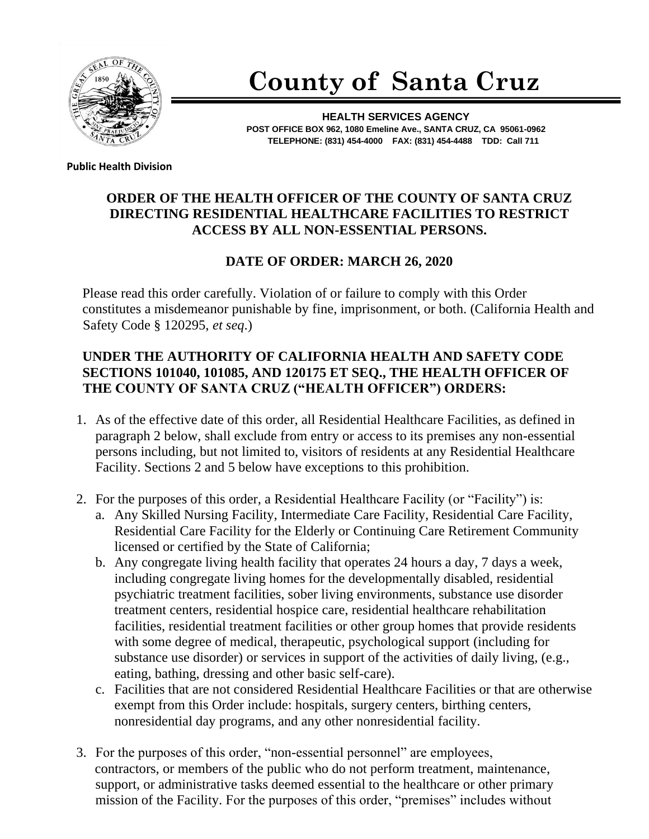

# **County of Santa Cruz**

**HEALTH SERVICES AGENCY POST OFFICE BOX 962, 1080 Emeline Ave., SANTA CRUZ, CA 95061-0962 TELEPHONE: (831) 454-4000 FAX: (831) 454-4488 TDD: Call 711**

**Public Health Division** 

## **ORDER OF THE HEALTH OFFICER OF THE COUNTY OF SANTA CRUZ DIRECTING RESIDENTIAL HEALTHCARE FACILITIES TO RESTRICT ACCESS BY ALL NON-ESSENTIAL PERSONS.**

## **DATE OF ORDER: MARCH 26, 2020**

Please read this order carefully. Violation of or failure to comply with this Order constitutes a misdemeanor punishable by fine, imprisonment, or both. (California Health and Safety Code § 120295, *et seq*.)

#### **UNDER THE AUTHORITY OF CALIFORNIA HEALTH AND SAFETY CODE SECTIONS 101040, 101085, AND 120175 ET SEQ., THE HEALTH OFFICER OF THE COUNTY OF SANTA CRUZ ("HEALTH OFFICER") ORDERS:**

- 1. As of the effective date of this order, all Residential Healthcare Facilities, as defined in paragraph 2 below, shall exclude from entry or access to its premises any non-essential persons including, but not limited to, visitors of residents at any Residential Healthcare Facility. Sections 2 and 5 below have exceptions to this prohibition.
- 2. For the purposes of this order, a Residential Healthcare Facility (or "Facility") is:
	- a. Any Skilled Nursing Facility, Intermediate Care Facility, Residential Care Facility, Residential Care Facility for the Elderly or Continuing Care Retirement Community licensed or certified by the State of California;
	- b. Any congregate living health facility that operates 24 hours a day, 7 days a week, including congregate living homes for the developmentally disabled, residential psychiatric treatment facilities, sober living environments, substance use disorder treatment centers, residential hospice care, residential healthcare rehabilitation facilities, residential treatment facilities or other group homes that provide residents with some degree of medical, therapeutic, psychological support (including for substance use disorder) or services in support of the activities of daily living, (e.g., eating, bathing, dressing and other basic self-care).
	- c. Facilities that are not considered Residential Healthcare Facilities or that are otherwise exempt from this Order include: hospitals, surgery centers, birthing centers, nonresidential day programs, and any other nonresidential facility.
- 3. For the purposes of this order, "non-essential personnel" are employees, contractors, or members of the public who do not perform treatment, maintenance, support, or administrative tasks deemed essential to the healthcare or other primary mission of the Facility. For the purposes of this order, "premises" includes without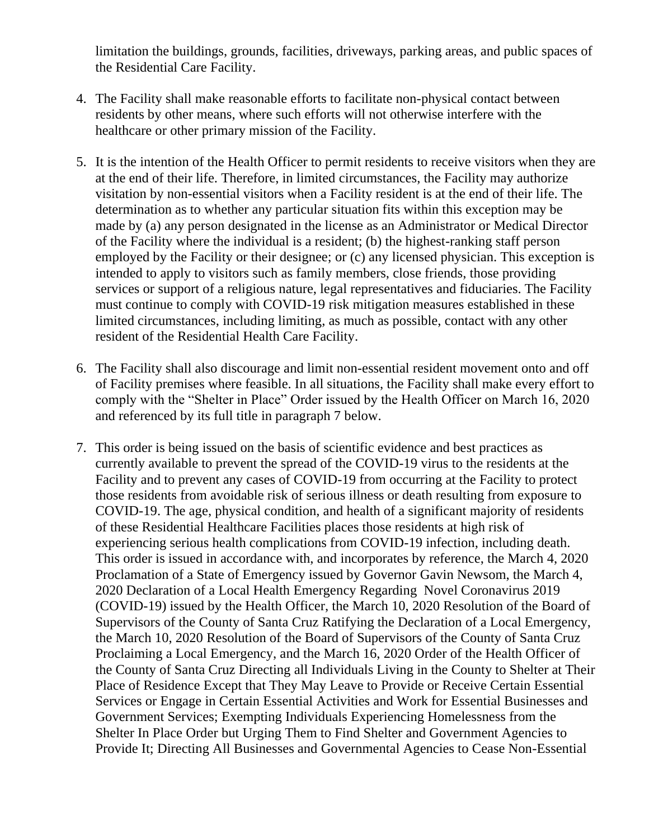limitation the buildings, grounds, facilities, driveways, parking areas, and public spaces of the Residential Care Facility.

- 4. The Facility shall make reasonable efforts to facilitate non-physical contact between residents by other means, where such efforts will not otherwise interfere with the healthcare or other primary mission of the Facility.
- 5. It is the intention of the Health Officer to permit residents to receive visitors when they are at the end of their life. Therefore, in limited circumstances, the Facility may authorize visitation by non-essential visitors when a Facility resident is at the end of their life. The determination as to whether any particular situation fits within this exception may be made by (a) any person designated in the license as an Administrator or Medical Director of the Facility where the individual is a resident; (b) the highest-ranking staff person employed by the Facility or their designee; or (c) any licensed physician. This exception is intended to apply to visitors such as family members, close friends, those providing services or support of a religious nature, legal representatives and fiduciaries. The Facility must continue to comply with COVID-19 risk mitigation measures established in these limited circumstances, including limiting, as much as possible, contact with any other resident of the Residential Health Care Facility.
- 6. The Facility shall also discourage and limit non-essential resident movement onto and off of Facility premises where feasible. In all situations, the Facility shall make every effort to comply with the "Shelter in Place" Order issued by the Health Officer on March 16, 2020 and referenced by its full title in paragraph 7 below.
- 7. This order is being issued on the basis of scientific evidence and best practices as currently available to prevent the spread of the COVID-19 virus to the residents at the Facility and to prevent any cases of COVID-19 from occurring at the Facility to protect those residents from avoidable risk of serious illness or death resulting from exposure to COVID-19. The age, physical condition, and health of a significant majority of residents of these Residential Healthcare Facilities places those residents at high risk of experiencing serious health complications from COVID-19 infection, including death. This order is issued in accordance with, and incorporates by reference, the March 4, 2020 Proclamation of a State of Emergency issued by Governor Gavin Newsom, the March 4, 2020 Declaration of a Local Health Emergency Regarding Novel Coronavirus 2019 (COVID-19) issued by the Health Officer, the March 10, 2020 Resolution of the Board of Supervisors of the County of Santa Cruz Ratifying the Declaration of a Local Emergency, the March 10, 2020 Resolution of the Board of Supervisors of the County of Santa Cruz Proclaiming a Local Emergency, and the March 16, 2020 Order of the Health Officer of the County of Santa Cruz Directing all Individuals Living in the County to Shelter at Their Place of Residence Except that They May Leave to Provide or Receive Certain Essential Services or Engage in Certain Essential Activities and Work for Essential Businesses and Government Services; Exempting Individuals Experiencing Homelessness from the Shelter In Place Order but Urging Them to Find Shelter and Government Agencies to Provide It; Directing All Businesses and Governmental Agencies to Cease Non-Essential